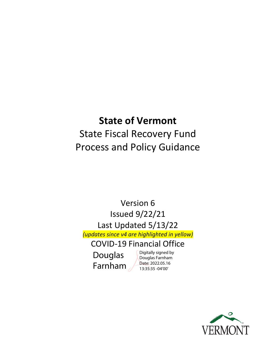# **State of Vermont**

# State Fiscal Recovery Fund Process and Policy Guidance

Version 6 Issued 9/22/21 Last Updated 5/13/22 *(updates since v4 are highlighted in yellow)* COVID-19 Financial Office

Douglas Farnham Digitally signed by Douglas Farnham Date: 2022.05.16 13:35:35 -04'00'

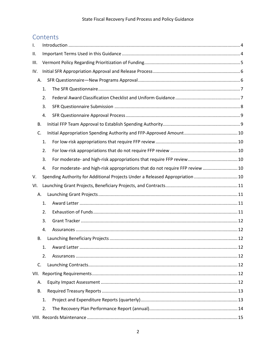# Contents

| Ι.   |    |                                                                               |  |
|------|----|-------------------------------------------------------------------------------|--|
| Ш.   |    |                                                                               |  |
| III. |    |                                                                               |  |
| IV.  |    |                                                                               |  |
| Α.   |    |                                                                               |  |
|      | 1. |                                                                               |  |
|      | 2. |                                                                               |  |
|      | 3. |                                                                               |  |
|      | 4. |                                                                               |  |
| В.   |    |                                                                               |  |
| C.   |    |                                                                               |  |
|      | 1. |                                                                               |  |
|      | 2. |                                                                               |  |
|      | 3. |                                                                               |  |
|      | 4. | For moderate- and high-risk appropriations that do not require FFP review  10 |  |
| V.   |    | Spending Authority for Additional Projects Under a Released Appropriation  10 |  |
| VI.  |    |                                                                               |  |
| Α.   |    |                                                                               |  |
|      | 1. |                                                                               |  |
|      | 2. |                                                                               |  |
|      | 3. |                                                                               |  |
|      | 4. |                                                                               |  |
| В.   |    |                                                                               |  |
|      | 1. |                                                                               |  |
|      | 2. |                                                                               |  |
| C.   |    |                                                                               |  |
|      |    |                                                                               |  |
| Α.   |    |                                                                               |  |
| В.   |    |                                                                               |  |
|      | 1. |                                                                               |  |
|      | 2. |                                                                               |  |
|      |    |                                                                               |  |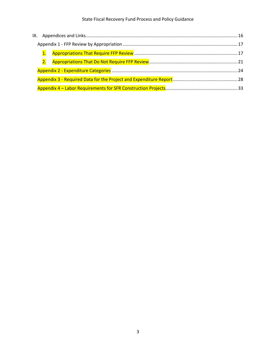## State Fiscal Recovery Fund Process and Policy Guidance

| 2. |  |
|----|--|
|    |  |
|    |  |
|    |  |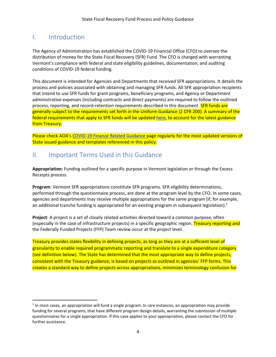# <span id="page-3-0"></span>I. Introduction

The Agency of Administration has established the COVID-19 Financial Office (CFO) to oversee the distribution of money for the State Fiscal Recovery (SFR) Fund. The CFO is charged with warranting Vermont's compliance with federal and state eligibility guidelines, documentation, and auditing conditions of COVID-19 federal funding.

This document is intended for Agencies and Departments that received SFR appropriations. It details the process and policies associated with obtaining and managing SFR funds. All SFR appropriation recipients that intend to use SFR funds for grant programs, beneficiary programs, and Agency or Department administrative expenses (including contracts and direct payments) are required to follow the outlined process, reporting, and record-retention requirements described in this document. **SFR funds are** generally subject to the requirements set forth in the Uniform Guidance (2 CFR 200). A summary of the federal requirements that apply to SFR funds will be updated [here,](https://finance.vermont.gov/sites/finance/files/documents/Train_Support/VISION_JA_OG/SFR_Federal_Fund_Requirements.pdf) to account for the latest guidance from Treasury.

Please check AOA's [COVID-19 Finance Related Guidance](https://finance.vermont.gov/covid-19-guidance) page regularly for the most updated versions of State issued guidance and templates referenced in this policy.

# <span id="page-3-1"></span>II. Important Terms Used in this Guidance

**Appropriation:** Funding outlined for a specific purpose in Vermont legislation or through the Excess Receipts process.

**Program**: Vermont SFR appropriations constitute SFR programs. SFR eligibility determinations, performed through the questionnaire process, are done at the program level by the CFO. In some cases, agencies and departments may receive multiple appropriations for the same program (if, for example, an additional tranche funding is appropriated for an existing program in subsequent legislation). $1$ 

**Project**: A project is a set of closely related activities directed toward a common purpose, often (especially in the case of infrastructure projects) in a specific geographic region. Treasury reporting and the Federally Funded Projects (FFP) Team review occur at the *project* level.

Treasury provides states flexibility in defining projects, as long as they are at a sufficient level of granularity to enable required programmatic reporting and translate to a single expenditure category (see definition below). The State has determined that the most appropriate way to define projects, consistent with the Treasury guidance, is based on projects as outlined in agencies' FFP forms. This creates a standard way to define projects across appropriations, minimizes terminology confusion for

 $<sup>1</sup>$  In most cases, an appropriation will fund a single program. In rare instances, an appropriation may provide</sup> funding for several programs, that have different program design details, warranting the submission of multiple questionnaires for a single appropriation. If this case applies to your appropriation, please contact the CFO for further assistance.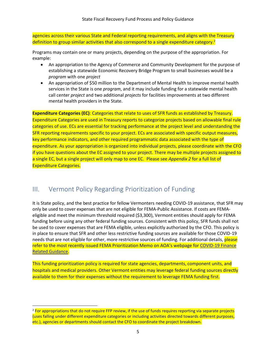agencies across their various State and Federal reporting requirements, and aligns with the Treasury definition to group similar activities that also correspond to a single expenditure category.<sup>2</sup>

Programs may contain one or many projects, depending on the purpose of the appropriation. For example:

- An appropriation to the Agency of Commerce and Community Development for the purpose of establishing a statewide Economic Recovery Bridge Program to small businesses would be a *program* with one *project*
- An appropriation of \$50 million to the Department of Mental Health to improve mental health services in the State is one *program*, and it may include funding for a statewide mental health call center *project* and two additional *projects* for facilities improvements at two different mental health providers in the State.

**Expenditure Categories (EC)**: Categories that relate to uses of SFR funds as established by Treasury. Expenditure Categories are used in Treasury reports to categorize projects based on allowable final rule categories of use. ECs are essential for tracking performance at the project level and understanding the SFR reporting requirements specific to your project. ECs are associated with specific output measures, key performance indicators, and other required programmatic data associated with the type of expenditure. As your appropriation is organized into individual projects, please coordinate with the CFO if you have questions about the EC assigned to your project. There may be multiple projects assigned to a single EC, but a single project will only map to one EC. Please see *Appendix 2* for a full list of Expenditure Categories.

# <span id="page-4-0"></span>III. Vermont Policy Regarding Prioritization of Funding

It is State policy, and the best practice for fellow Vermonters needing COVID-19 assistance, that SFR may only be used to cover expenses that are not eligible for FEMA-Public Assistance. If costs are FEMAeligible and meet the minimum threshold required (\$3,300), Vermont entities should apply for FEMA funding before using any other federal funding sources. Consistent with this policy, SFR funds shall not be used to cover expenses that are FEMA eligible, unless explicitly authorized by the CFO. This policy is in place to ensure that SFR and other less restrictive funding sources are available for those COVID-19 needs that are not eligible for other, more restrictive sources of funding. For additional details, please refer to the most recently issued FEMA Prioritization Memo on AOA's webpage for [COVID-19 Finance](https://finance.vermont.gov/covid-19-guidance)  [Related Guidance.](https://finance.vermont.gov/covid-19-guidance)

This funding prioritization policy is required for state agencies, departments, component units, and hospitals and medical providers. Other Vermont entities may leverage federal funding sources directly available to them for their expenses without the requirement to leverage FEMA funding first.

<sup>&</sup>lt;sup>2</sup> For appropriations that do not require FFP review, if the use of funds requires reporting via separate projects (uses falling under different expenditure categories or including activities directed towards different purposes, etc.), agencies or departments should contact the CFO to coordinate the project breakdown.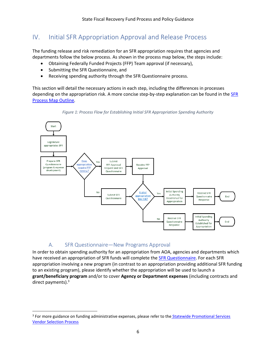# <span id="page-5-0"></span>IV. Initial SFR Appropriation Approval and Release Process

The funding release and risk remediation for an SFR appropriation requires that agencies and departments follow the below process. As shown in the process map below, the steps include:

- Obtaining Federally Funded Projects (FFP) Team approval (if necessary),
- Submitting the SFR Questionnaire, and
- Receiving spending authority through the SFR Questionnaire process.

This section will detail the necessary actions in each step, including the differences in processes depending on the appropriation risk. A more concise step-by-step explanation can be found in the **SFR** [Process Map Outline](https://finance.vermont.gov/sites/finance/files/documents/About_Dept/SFR%20Process%20Map%20Outline.pdf)*.*





## A. SFR Questionnaire—New Programs Approval

<span id="page-5-1"></span>In order to obtain spending authority for an appropriation from AOA, agencies and departments which have received an appropriation of SFR funds will complete the **SFR Questionnaire**. For each SFR appropriation involving a new program (in contrast to an appropriation providing additional SFR funding to an existing program), please identify whether the appropriation will be used to launch a **grant/beneficiary program** and/or to cover **Agency or Department expenses** (including contracts and direct payments).<sup>3</sup>

<sup>&</sup>lt;sup>3</sup> For more guidance on funding administrative expenses, please refer to the Statewide Promotional Services [Vendor Selection Process](https://finance.vermont.gov/sites/finance/files/documents/Train_Support/VISION_JA_OG/Memo%20re%20ARPA%20Administrative%20Expenses%20Memo%20-%20July%2019.pdf)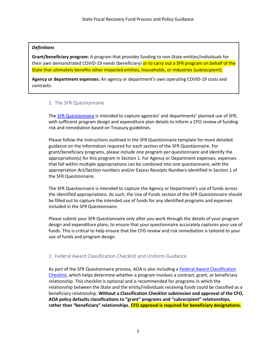#### *Definitions*

**Grant/beneficiary program:** A program that provides funding to non-State entities/individuals for their own demonstrated COVID-19 needs (beneficiary) or to carry out a SFR program on behalf of the State that ultimately benefits other impacted entities, households, or industries (subrecipient).

**Agency or department expenses:** An agency or department's own operating COVID-19 costs and contracts.

## <span id="page-6-0"></span>1. The SFR Questionnaire

The **SFR** Questionnaire is intended to capture agencies' and departments' planned use of SFR, with sufficient program design and expenditure plan details to inform a CFO review of funding risk and remediation based on Treasury guidelines.

Please follow the instructions outlined in the SFR Questionnaire template for more detailed guidance on the information required for each section of the SFR Questionnaire. For grant/beneficiary programs, please include one program per questionnaire and identify the appropriation(s) for this program in Section 1. For Agency or Department expenses, expenses that fall within multiple appropriations can be combined into one questionnaire, with the appropriation Act/Section numbers and/or Excess Receipts Numbers identified in Section 1 of the SFR Questionnaire.

The SFR Questionnaire is intended to capture the Agency or Department's use of funds across the identified appropriations. As such, the Use of Funds section of the SFR Questionnaire should be filled out to capture the intended use of funds for any identified programs and expenses included in the SFR Questionnaire.

Please submit your SFR Questionnaire only after you work through the details of your program design and expenditure plans, to ensure that your questionnaire accurately captures your use of funds. This is critical to help ensure that the CFO review and risk remediation is tailored to your use of funds and program design.

## <span id="page-6-1"></span>2. Federal Award Classification Checklist and Uniform Guidance

As part of the SFR Questionnaire process, AOA is also including a Federal Award Classification [Checklist,](https://finance.vermont.gov/sites/finance/files/documents/Train_Support/VISION_JA_OG/COVID-19_Federal%20Award%20Classification%20Checklist.pdf) which helps determine whether a program involves a contract, grant, or beneficiary relationship. This checklist is optional and is recommended for programs in which the relationship between the State and the entity/individuals receiving funds could be classified as a beneficiary relationship. **Without a Classification Checklist submission and approval of the CFO, AOA policy defaults classifications to "grant" programs and "subrecipient" relationships, rather than "beneficiary" relationships. CFO approval is required for beneficiary designations.**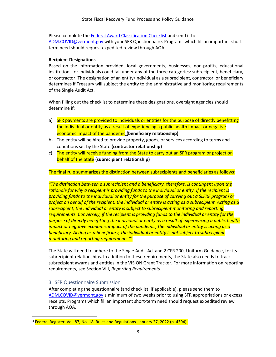Please complete the [Federal Award Classification Checklist](https://finance.vermont.gov/sites/finance/files/documents/Train_Support/VISION_JA_OG/COVID-19_Federal%20Award%20Classification%20Checklist.pdf) and send it to

[ADM.COVID@vermont.gov](mailto:ADM.COVID@vermont.gov) with your SFR Questionnaire. Programs which fill an important shortterm need should request expedited review through AOA.

#### **Recipient Designations**

Based on the information provided, local governments, businesses, non-profits, educational institutions, or individuals could fall under any of the three categories: subrecipient, beneficiary, or contractor. The designation of an entity/individual as a subrecipient, contractor, or beneficiary determines if Treasury will subject the entity to the administrative and monitoring requirements of the Single Audit Act.

When filling out the checklist to determine these designations, oversight agencies should determine if:

- a) SFR payments are provided to individuals or entities for the purpose of directly benefitting the individual or entity as a result of experiencing a public health impact or negative economic impact of the pandemic **(beneficiary relationship)**
- b) The entity will be hired to provide property, goods, or services according to terms and conditions set by the State **(contractor relationship)**
- c) The entity will receive funding from the State to carry out an SFR program or project on behalf of the State **(subrecipient relationship)**

The final rule summarizes the distinction between subrecipients and beneficiaries as follows:

*"The distinction between a subrecipient and a beneficiary, therefore, is contingent upon the rationale for why a recipient is providing funds to the individual or entity. If the recipient is providing funds to the individual or entity for the purpose of carrying out a SLFRF program or project on behalf of the recipient, the individual or entity is acting as a subrecipient. Acting as a subrecipient, the individual or entity is subject to subrecipient monitoring and reporting requirements. Conversely, if the recipient is providing funds to the individual or entity for the purpose of directly benefitting the individual or entity as a result of experiencing a public health impact or negative economic impact of the pandemic, the individual or entity is acting as a beneficiary. Acting as a beneficiary, the individual or entity is not subject to subrecipient monitoring and reporting requirements."<sup>4</sup>*

The State will need to adhere to the Single Audit Act and 2 CFR 200, Uniform Guidance, for its subrecipient relationships. In addition to these requirements, the State also needs to track subrecipient awards and entities in the VISION Grant Tracker. For more information on reporting requirements, see Section VIII, *Reporting Requirements.*

## <span id="page-7-0"></span>3. SFR Questionnaire Submission

After completing the questionnaire (and checklist, if applicable), please send them to [ADM.COVID@vermont.gov](mailto:ADM.COVID@vermont.gov) a minimum of two weeks prior to using SFR appropriations or excess receipts. Programs which fill an important short-term need should request expedited review through AOA.

<sup>&</sup>lt;sup>4</sup> Federal Register, Vol. 87, No. 18, Rules and Regulations. January 27, 2022 (p. 4394).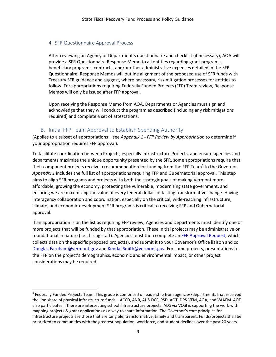## <span id="page-8-0"></span>4. SFR Questionnaire Approval Process

After reviewing an Agency or Department's questionnaire and checklist (if necessary), AOA will provide a SFR Questionnaire Response Memo to all entities regarding grant programs, beneficiary programs, contracts, and/or other administrative expenses detailed in the SFR Questionnaire. Response Memos will outline alignment of the proposed use of SFR funds with Treasury SFR guidance and suggest, where necessary, risk mitigation processes for entities to follow. For appropriations requiring Federally Funded Projects (FFP) Team review, Response Memos will only be issued after FFP approval.

Upon receiving the Response Memo from AOA, Departments or Agencies must sign and acknowledge that they will conduct the program as described (including any risk mitigations required) and complete a set of attestations.

## B. Initial FFP Team Approval to Establish Spending Authority

<span id="page-8-1"></span>(Applies to a subset of appropriations – see *Appendix 1 - FFP Review by Appropriation* to determine if your appropriation requires FFP approval).

To facilitate coordination between Projects, especially infrastructure Projects, and ensure agencies and departments maximize the unique opportunity presented by the SFR, some appropriations require that their component projects receive a recommendation for funding from the FFP Team<sup>5</sup> to the Governor. *Appendix 1* includes the full list of appropriations requiring FFP and Gubernatorial approval. This step aims to align SFR programs and projects with both the strategic goals of making Vermont more affordable, growing the economy, protecting the vulnerable, modernizing state government, and ensuring we are maximizing the value of every federal dollar for lasting transformative change. Having interagency collaboration and coordination, especially on the critical, wide-reaching infrastructure, climate, and economic development SFR programs is critical to receiving FFP and Gubernatorial approval.

If an appropriation is on the list as requiring FFP review, Agencies and Departments must identify one or more projects that will be funded by that appropriation. These initial projects may be administrative or foundational in nature (i.e., hiring staff). Agencies must then complete a[n FFP Approval Request,](https://finance.vermont.gov/sites/finance/files/documents/Train_Support/VISION_JA_OG/FFP_Approval_Request_v1.docx) which collects data on the specific proposed project(s), and submit it to your Governor's Office liaison and cc [Douglas.Farnham@vermont.gov](mailto:Douglas.Farnham@vermont.gov) and [Kendal.Smith@vermont.gov.](mailto:Kendal.Smith@vermont.gov) For some projects, presentations to the FFP on the project's demographics, economic and environmental impact, or other project considerations may be required.

<sup>5</sup> Federally Funded Projects Team: This group is comprised of leadership from agencies/departments that received the lion share of physical infrastructure funds – ACCD, ANR, AHS-DCF, PSD, AOT, DPS-VEM, AOA, and VAAFM. AOE also participates if there are intersecting school infrastructure projects. ADS via VCGI is supporting the work with mapping projects & grant applications as a way to share information. The Governor's core principles for infrastructure projects are those that are tangible, transformative, timely and transparent. Funds/projects shall be prioritized to communities with the greatest population, workforce, and student declines over the past 20 years.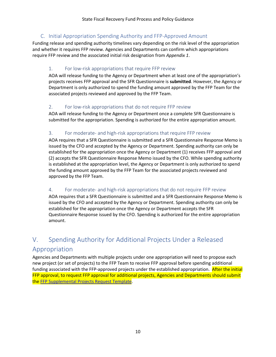## C. Initial Appropriation Spending Authority and FFP-Approved Amount

<span id="page-9-0"></span>Funding release and spending authority timelines vary depending on the risk level of the appropriation and whether it requires FFP review. Agencies and Departments can confirm which appropriations require FFP review and the associated initial risk designation from *Appendix 1*.

## <span id="page-9-1"></span>1. For low-risk appropriations that require FFP review

AOA will release funding to the Agency or Department when at least one of the appropriation's projects receives FFP approval and the SFR Questionnaire is **submitted**. However, the Agency or Department is only authorized to spend the funding amount approved by the FFP Team for the associated projects reviewed and approved by the FFP Team.

## <span id="page-9-2"></span>2. For low-risk appropriations that do not require FFP review

AOA will release funding to the Agency or Department once a complete SFR Questionnaire is submitted for the appropriation. Spending is authorized for the entire appropriation amount.

## <span id="page-9-3"></span>3. For moderate- and high-risk appropriations that require FFP review

AOA requires that a SFR Questionnaire is submitted and a SFR Questionnaire Response Memo is issued by the CFO and accepted by the Agency or Department. Spending authority can only be established for the appropriation once the Agency or Department (1) receives FFP approval and (2) accepts the SFR Questionnaire Response Memo issued by the CFO. While spending authority is established at the appropriation level, the Agency or Department is only authorized to spend the funding amount approved by the FFP Team for the associated projects reviewed and approved by the FFP Team.

## <span id="page-9-4"></span>4. For moderate- and high-risk appropriations that do not require FFP review

AOA requires that a SFR Questionnaire is submitted and a SFR Questionnaire Response Memo is issued by the CFO and accepted by the Agency or Department. Spending authority can only be established for the appropriation once the Agency or Department accepts the SFR Questionnaire Response issued by the CFO. Spending is authorized for the entire appropriation amount.

# <span id="page-9-5"></span>V. Spending Authority for Additional Projects Under a Released

## Appropriation

Agencies and Departments with multiple projects under one appropriation will need to propose each new project (or set of projects) to the FFP Team to receive FFP approval before spending additional funding associated with the FFP-approved projects under the established appropriation. After the initial FFP approval, to request FFP approval for additional projects, Agencies and Departments should submit th[e FFP Supplemental Projects](https://view.officeapps.live.com/op/view.aspx?src=https%3A%2F%2Ffinance.vermont.gov%2Fsites%2Ffinance%2Ffiles%2Fdocuments%2FFFP_Supplemental_Projects%2520v1.docx&wdOrigin=BROWSELINK) Request Template.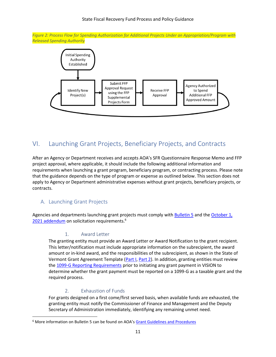*Figure 2: Process Flow for Spending Authorization for Additional Projects Under an Appropriation/Program with Released Spending Authority*



# <span id="page-10-0"></span>VI. Launching Grant Projects, Beneficiary Projects, and Contracts

After an Agency or Department receives and accepts AOA's SFR Questionnaire Response Memo and FFP project approval, where applicable, it should include the following additional information and requirements when launching a grant program, beneficiary program, or contracting process. Please note that the guidance depends on the type of program or expense as outlined below. This section does not apply to Agency or Department administrative expenses without grant projects, beneficiary projects, or contracts.

## <span id="page-10-1"></span>A. Launching Grant Projects

<span id="page-10-2"></span>Agencies and departments launching grant projects must comply with **Bulletin 5** and the October  $1$ , [2021 addendum](https://finance.vermont.gov/sites/finance/files/documents/Train_Support/VISION_JA_OG/Bulletins_5_and_3.5_ARPA_State_Fiscal_Recovery_Funds_Solicitation_Requirements_-_Addendum%20_10-1-21.pdf) on solicitation requirements.<sup>6</sup>

## 1. Award Letter

The granting entity must provide an Award Letter or Award Notification to the grant recipient. This letter/notification must include appropriate information on the subrecipient, the award amount or in-kind award, and the responsibilities of the subrecipient, as shown in the State of Vermont Grant Agreement Template [\(Part I,](https://finance.vermont.gov/sites/finance/files/documents/Pol_Proc/Grants/FIN-B5_Grant_Agreement_Part1.pdf) [Part](https://finance.vermont.gov/sites/finance/files/documents/Pol_Proc/Grants/FIN-B5_Grant_Agreement_Part2.doc) 2). In addition, granting entities must review th[e 1099-G Reporting Requirements](https://finance.vermont.gov/sites/finance/files/documents/Train_Support/VISION_JA_OG/COVID-19_Economic_Relief_Payments%20_1099-G_Reporting_Requirements.pdf) prior to initiating any grant payment in VISION to determine whether the grant payment must be reported on a 1099-G as a taxable grant and the required process.

## 2. Exhaustion of Funds

<span id="page-10-3"></span>For grants designed on a first come/first served basis, when available funds are exhausted, the granting entity must notify the Commissioner of Finance and Management and the Deputy Secretary of Administration immediately, identifying any remaining unmet need.

<sup>&</sup>lt;sup>6</sup> More information on Bulletin 5 can be found on AOA's [Grant Guidelines and Procedures](https://finance.vermont.gov/policies-and-procedures/grant-guidelines-and-procedures)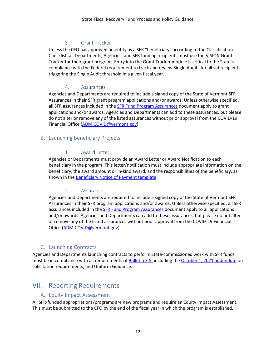## 3. Grant Tracker

<span id="page-11-0"></span>Unless the CFO has approved an entity as a SFR "beneficiary" according to the Classification Checklist, all Departments, Agencies, and SFR funding recipients must use the VISION Grant Tracker for their grant program. Entry into the Grant Tracker module is critical to the State's compliance with the Federal requirement to track and review Single Audits for all subrecipients triggering the Single Audit threshold in a given fiscal year.

## 4. Assurances

<span id="page-11-1"></span>Agencies and Departments are required to include a signed copy of the State of Vermont SFR Assurances in their SFR grant program applications and/or awards. Unless otherwise specified, all SFR assurances included in the **SFR Fund Program Assurances** document apply to grant applications and/or awards. Agencies and Departments can add to these assurances, but please do not alter or remove any of the listed assurances without prior approval from the COVID-19 Financial Office [\(ADM.COVID@vermont.gov\)](mailto:ADM.COVID@vermont.gov).

## <span id="page-11-3"></span><span id="page-11-2"></span>B. Launching Beneficiary Projects

## 1. Award Letter

Agencies or Departments must provide an Award Letter or Award Notification to each beneficiary in the program. This letter/notification must include appropriate information on the beneficiary, the award amount or in-kind award, and the responsibilities of the beneficiary, as shown in the [Beneficiary Notice of Payment](https://finance.vermont.gov/sites/finance/files/documents/Train_Support/VISION_JA_OG/Beneficiary_Notice_of_Payment.docx) template.

## 2. Assurances

<span id="page-11-4"></span>Agencies and Departments are required to include a signed copy of the State of Vermont SFR Assurances in their SFR program applications and/or awards. Unless otherwise specified, all SFR assurances included in th[e SFR Fund Program Assurances](https://finance.vermont.gov/sites/finance/files/documents/Train_Support/VISION_JA_OG/COVID-19_SFR%20Program%20Assurances.docx) document apply to all applications and/or awards. Agencies and Departments can add to these assurances, but please do not alter or remove any of the listed assurances without prior approval from the COVID-19 Financial Office [\(ADM.COVID@vermont.gov\)](mailto:ADM.COVID@vermont.gov).

## C. Launching Contracts

<span id="page-11-5"></span>Agencies and Departments launching contracts to perform State-commissioned work with SFR funds must be in compliance with all requirements of [Bulletin 3.5,](https://aoa.vermont.gov/bulletins/3point5) including th[e October 1, 2021 addendum](https://finance.vermont.gov/sites/finance/files/documents/Train_Support/VISION_JA_OG/Bulletins_5_and_3.5_ARPA_State_Fiscal_Recovery_Funds_Solicitation_Requirements_-_Addendum%20_10-1-21.pdf) on solicitation requirements, and Uniform Guidance.

# <span id="page-11-7"></span><span id="page-11-6"></span>VII. Reporting Requirements

## A. Equity Impact Assessment

All SFR-funded appropriations/programs are new programs and require an Equity Impact Assessment. This must be submitted to the CFO by the end of the fiscal year in which the program is established.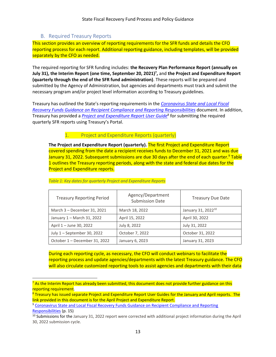## B. Required Treasury Reports

<span id="page-12-0"></span>This section provides an overview of reporting requirements for the SFR funds and details the CFO reporting process for each report. Additional reporting guidance, including templates, will be provided separately by the CFO as needed.

The required reporting for SFR funding includes: **the Recovery Plan Performance Report (annually on July 31), the Interim Report (one time, September 20, 2021)<sup>7</sup> ,** and **the Project and Expenditure Report (quarterly through the end of the SFR fund administration)**. These reports will be prepared and submitted by the Agency of Administration, but agencies and departments must track and submit the necessary program and/or project level information according to Treasury guidelines.

Treasury has outlined the State's reporting requirements in the *[Coronavirus State and Local Fiscal](https://home.treasury.gov/system/files/136/SLFRF-Compliance-and-Reporting-Guidance.pdf)  [Recovery Funds Guidance on Recipient Compliance and Reporting Responsibilities](https://home.treasury.gov/system/files/136/SLFRF-Compliance-and-Reporting-Guidance.pdf)* document. In addition, Treasury has provided a *[Project and Expenditure Report User Guide](https://home.treasury.gov/system/files/136/April-2022-PE-Report-User-Guide.pdf)*<sup>8</sup> for submitting the required quarterly SFR reports using Treasury's Portal.

## 1. Project and Expenditure Reports (quarterly)

<span id="page-12-1"></span>**The Project and Expenditure Report (quarterly).** The first Project and Expenditure Report covered spending from the date a recipient receives funds to December 31, 2021 and was due January 31, 2022. Subsequent submissions are due 30 days after the end of each quarter.<sup>9</sup> Table 1 outlines the Treasury reporting periods, along with the state and federal due dates for the Project and Expenditure reports.

| <b>Treasury Reporting Period</b> | Agency/Department<br><b>Submission Date</b> | <b>Treasury Due Date</b>       |
|----------------------------------|---------------------------------------------|--------------------------------|
| March 3 - December 31, 2021      | March 18, 2022                              | January 31, 2022 <sup>10</sup> |
| January 1 - March 31, 2022       | April 15, 2022                              | April 30, 2022                 |
| April 1 - June 30, 2022          | July 8, 2022                                | July 31, 2022                  |
| July 1 - September 30, 2022      | October 7, 2022                             | October 31, 2022               |
| October 1 - December 31, 2022    | January 6, 2023                             | January 31, 2023               |

#### *Table 1: Key dates for quarterly Project and Expenditure Reports*

During each reporting cycle, as necessary, the CFO will conduct webinars to facilitate the reporting process and update agencies/departments with the latest Treasury guidance. The CFO will also circulate customized reporting tools to assist agencies and departments with their data

<sup>&</sup>lt;sup>7</sup> As the Interim Report has already been submitted, this document does not provide further guidance on this reporting requirement.

<sup>&</sup>lt;sup>8</sup> Treasury has issued separate Project and Expenditure Report User Guides for the January and April reports. The link provided in this document is for the April Project and Expenditure Report.

<sup>&</sup>lt;sup>9</sup> Coronavirus State and Local Fiscal Recovery Funds Guidance on Recipient Compliance and Reporting [Responsibilities](https://home.treasury.gov/system/files/136/SLFRF-Compliance-and-Reporting-Guidance.pdf) (p. 15)

<sup>&</sup>lt;sup>10</sup> Submissions for the January 31, 2022 report were corrected with additional project information during the April 30, 2022 submission cycle.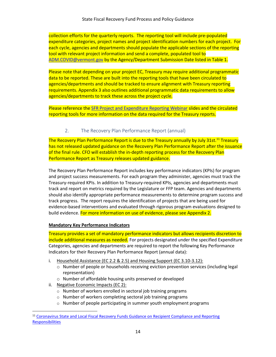collection efforts for the quarterly reports. The reporting tool will include pre-populated expenditure categories, project names and project identification numbers for each project. For each cycle, agencies and departments should populate the applicable sections of the reporting tool with relevant project information and send a complete, populated tool to [ADM.COVID@vermont.gov](mailto:ADM.COVID@vermont.gov) by the Agency/Department Submission Date listed in Table 1.

Please note that depending on your project EC, Treasury may require additional programmatic data to be reported. These are built into the reporting tools that have been circulated to agencies/departments and should be tracked to ensure alignment with Treasury reporting requirements. Appendix 3 also outlines additional programmatic data requirements to allow agencies/departments to track these across the project cycle.

Please reference th[e SFR Project and Expenditure Reporting Webinar](https://finance.vermont.gov/sites/finance/files/documents/SFR%20Project%20and%20Expenditure%20Reporting%20Webinar.pdf) slides and the circulated reporting tools for more information on the data required for the Treasury reports.

## 2. The Recovery Plan Performance Report (annual)

<span id="page-13-0"></span>The Recovery Plan Performance Report is due to the Treasury annually by July 31st.<sup>11</sup> Treasury has not released updated guidance on the Recovery Plan Performance Report after the issuance of the final rule. CFO will establish the in-depth reporting process for the Recovery Plan Performance Report as Treasury releases updated guidance.

The Recovery Plan Performance Report includes key performance indicators (KPIs) for program and project success measurements. For each program they administer, agencies must track the Treasury-required KPIs. In addition to Treasury-required KPIs, agencies and departments must track and report on metrics required by the Legislature or FFP team. Agencies and departments should also identify appropriate performance measurements to determine program success and track progress. The report requires the identification of projects that are being used for evidence-based interventions and evaluated through rigorous program evaluations designed to build evidence. For more information on use of evidence, please see Appendix 2.

## **Mandatory Key Performance Indicators**

Treasury provides a set of mandatory performance indicators but allows recipients discretion to include additional measures as needed. For projects designated under the specified Expenditure Categories, agencies and departments are required to report the following Key Performance Indicators for their Recovery Plan Performance Report (annual data):

- i. Household Assistance (EC 2.2 & 2.5) and Housing Support (EC 3.10-3.12):
	- o Number of people or households receiving eviction prevention services (including legal representation)
	- o Number of affordable housing units preserved or developed
- ii. Negative Economic Impacts (EC 2):
	- o Number of workers enrolled in sectoral job training programs
	- o Number of workers completing sectoral job training programs
	- o Number of people participating in summer youth employment programs

<sup>&</sup>lt;sup>11</sup> Coronavirus State and Local Fiscal Recovery Funds Guidance on Recipient Compliance and Reporting [Responsibilities](https://home.treasury.gov/system/files/136/SLFRF-Compliance-and-Reporting-Guidance.pdf)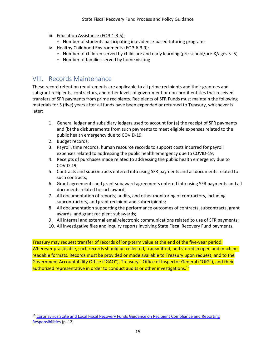- iii. Education Assistance (EC 3.1-3.5):
	- o Number of students participating in evidence-based tutoring programs
- iv. Healthy Childhood Environments (EC 3.6-3.9):
	- o Number of children served by childcare and early learning (pre-school/pre-K/ages 3- 5)
	- o Number of families served by home visiting

# <span id="page-14-0"></span>VIII. Records Maintenance

These record retention requirements are applicable to all prime recipients and their grantees and subgrant recipients, contractors, and other levels of government or non-profit entities that received transfers of SFR payments from prime recipients. Recipients of SFR Funds must maintain the following materials for 5 (five) years after all funds have been expended or returned to Treasury, whichever is later:

- 1. General ledger and subsidiary ledgers used to account for (a) the receipt of SFR payments and (b) the disbursements from such payments to meet eligible expenses related to the public health emergency due to COVID-19.
- 2. Budget records;
- 3. Payroll, time records, human resource records to support costs incurred for payroll expenses related to addressing the public health emergency due to COVID-19;
- 4. Receipts of purchases made related to addressing the public health emergency due to COVID-19;
- 5. Contracts and subcontracts entered into using SFR payments and all documents related to such contracts;
- 6. Grant agreements and grant subaward agreements entered into using SFR payments and all documents related to such award;
- 7. All documentation of reports, audits, and other monitoring of contractors, including subcontractors, and grant recipient and subrecipients;
- 8. All documentation supporting the performance outcomes of contracts, subcontracts, grant awards, and grant recipient subawards;
- 9. All internal and external email/electronic communications related to use of SFR payments;
- 10. All investigative files and inquiry reports involving State Fiscal Recovery Fund payments.

Treasury may request transfer of records of long-term value at the end of the five-year period. Wherever practicable, such records should be collected, transmitted, and stored in open and machinereadable formats. Records must be provided or made available to Treasury upon request, and to the Government Accountability Office ("GAO"), Treasury's Office of Inspector General ("OIG"), and their authorized representative in order to conduct audits or other investigations.<sup>12</sup>

<sup>&</sup>lt;sup>12</sup> Coronavirus State and Local Fiscal Recovery Funds Guidance on Recipient Compliance and Reporting [Responsibilities](https://home.treasury.gov/system/files/136/SLFRF-Compliance-and-Reporting-Guidance.pdf) (p. 12)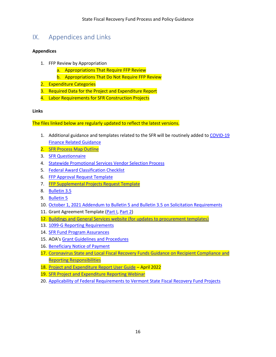# <span id="page-15-0"></span>IX. Appendices and Links

## **Appendices**

- 1. FFP Review by Appropriation
	- a. Appropriations That Require FFP Review
	- b. Appropriations That Do Not Require FFP Review
- 2. Expenditure Categories
- 3. Required Data for the Project and Expenditure Report
- 4. Labor Requirements for SFR Construction Projects

## **Links**

The files linked below are regularly updated to reflect the latest versions.

- 1. Additional guidance and templates related to the SFR will be routinely added to [COVID-19](https://finance.vermont.gov/covid-19-guidance)  [Finance Related Guidance](https://finance.vermont.gov/covid-19-guidance)
- 2. [SFR Process Map Outline](https://finance.vermont.gov/sites/finance/files/documents/About_Dept/SFR%20Process%20Map%20Outline.pdf)
- 3. [SFR Questionnaire](https://finance.vermont.gov/sites/finance/files/documents/Train_Support/VISION_JA_OG/SFR_Questionnaire.pdf)
- 4. [Statewide Promotional Services Vendor Selection Process](https://finance.vermont.gov/sites/finance/files/documents/Train_Support/VISION_JA_OG/Memo%20re%20ARPA%20Administrative%20Expenses%20Memo%20-%20July%2019.pdf)
- 5. [Federal Award Classification Checklist](https://finance.vermont.gov/sites/finance/files/documents/Train_Support/VISION_JA_OG/COVID-19_Federal%20Award%20Classification%20Checklist.pdf)
- 6. [FFP Approval Request Template](https://finance.vermont.gov/sites/finance/files/documents/Train_Support/VISION_JA_OG/FFP_Approval_Request_v1.docx)
- 7. [FFP Supplemental Projects Request Template](https://view.officeapps.live.com/op/view.aspx?src=https%3A%2F%2Ffinance.vermont.gov%2Fsites%2Ffinance%2Ffiles%2Fdocuments%2FFFP_Supplemental_Projects%2520v1.docx&wdOrigin=BROWSELINK)
- 8. [Bulletin 3.5](https://aoa.vermont.gov/bulletins/3point5)
- 9. [Bulletin 5](https://aoa.vermont.gov/sites/aoa/files/Bulletins/Bulletin_5_eff12-26-14.pdf)
- 10. [October 1, 2021 Addendum to Bulletin 5 and Bulletin 3.5 on Solicitation Requirements](https://finance.vermont.gov/sites/finance/files/documents/Train_Support/VISION_JA_OG/Bulletins_5_and_3.5_ARPA_State_Fiscal_Recovery_Funds_Solicitation_Requirements_-_Addendum%20_10-1-21.pdf)
- 11. Grant Agreement Template [\(Part I,](https://finance.vermont.gov/sites/finance/files/documents/Pol_Proc/Grants/FIN-B5_Grant_Agreement_Part1.pdf) [Part 2\)](https://finance.vermont.gov/sites/finance/files/documents/Pol_Proc/Grants/FIN-B5_Grant_Agreement_Part2.doc)
- 12. [Buildings and General Services website \(for updates to procurement templates\)](https://bgs.vermont.gov/purchasing-contracting/forms)
- 13. [1099-G Reporting Requirements](https://finance.vermont.gov/sites/finance/files/documents/Train_Support/VISION_JA_OG/COVID-19_Economic_Relief_Payments%20_1099-G_Reporting_Requirements.pdf)
- 14. **[SFR Fund Program Assurances](https://finance.vermont.gov/sites/finance/files/documents/Train_Support/VISION_JA_OG/COVID-19_SFR%20Program%20Assurances.docx)**
- 15. AOA's [Grant Guidelines and Procedures](https://finance.vermont.gov/policies-and-procedures/grant-guidelines-and-procedures)
- 16. [Beneficiary Notice of Payment](https://finance.vermont.gov/sites/finance/files/documents/Train_Support/VISION_JA_OG/Beneficiary_Notice_of_Payment.docx)
- 17. [Coronavirus State and Local Fiscal Recovery Funds Guidance on Recipient Compliance and](https://home.treasury.gov/system/files/136/SLFRF-Compliance-and-Reporting-Guidance.pdf)  [Reporting Responsibilities](https://home.treasury.gov/system/files/136/SLFRF-Compliance-and-Reporting-Guidance.pdf)
- 18. [Project and Expenditure Report User Guide](https://home.treasury.gov/system/files/136/April-2022-PE-Report-User-Guide.pdf) April 2022
- 19. [SFR Project and Expenditure Reporting Webinar](https://finance.vermont.gov/sites/finance/files/documents/SFR%20Project%20and%20Expenditure%20Reporting%20Webinar.pdf)
- 20. [Applicability of Federal Requirements to Vermont State Fiscal Recovery Fund Projects](https://finance.vermont.gov/sites/finance/files/documents/Train_Support/VISION_JA_OG/SFR_Federal_Fund_Requirements.pdf)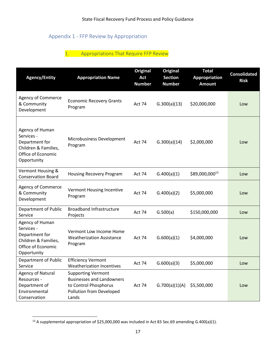## <span id="page-16-0"></span>Appendix 1 - FFP Review by Appropriation

## 1. Appropriations That Require FFP Review

<span id="page-16-1"></span>

| <b>Agency/Entity</b>                                                                                         | <b>Appropriation Name</b>                                                                                                          | <b>Original</b><br>Act<br><b>Number</b> | <b>Original</b><br><b>Section</b><br><b>Number</b> | <b>Total</b><br><b>Appropriation</b><br><b>Amount</b> | <b>Consolidated</b><br><b>Risk</b> |
|--------------------------------------------------------------------------------------------------------------|------------------------------------------------------------------------------------------------------------------------------------|-----------------------------------------|----------------------------------------------------|-------------------------------------------------------|------------------------------------|
| <b>Agency of Commerce</b><br>& Community<br>Development                                                      | <b>Economic Recovery Grants</b><br>Program                                                                                         | <b>Act 74</b>                           | G.300(a)(13)                                       | \$20,000,000                                          | Low                                |
| Agency of Human<br>Services -<br>Department for<br>Children & Families,<br>Office of Economic<br>Opportunity | Microbusiness Development<br>Program                                                                                               | <b>Act 74</b>                           | G.300(a)(14)                                       | \$2,000,000                                           | Low                                |
| Vermont Housing &<br><b>Conservation Board</b>                                                               | <b>Housing Recovery Program</b>                                                                                                    | Act 74                                  | G.400(a)(1)                                        | \$89,000,00013                                        | Low                                |
| Agency of Commerce<br>& Community<br>Development                                                             | Vermont Housing Incentive<br>Program                                                                                               | Act 74                                  | G.400(a)(2)                                        | \$5,000,000                                           | Low                                |
| Department of Public<br>Service                                                                              | <b>Broadband Infrastructure</b><br>Projects                                                                                        | Act 74                                  | G.500(a)                                           | \$150,000,000                                         | Low                                |
| Agency of Human<br>Services -<br>Department for<br>Children & Families,<br>Office of Economic<br>Opportunity | Vermont Low Income Home<br><b>Weatherization Assistance</b><br>Program                                                             | <b>Act 74</b>                           | G.600(a)(1)                                        | \$4,000,000                                           | Low                                |
| Department of Public<br>Service                                                                              | <b>Efficiency Vermont</b><br>Weatherization Incentives                                                                             | <b>Act 74</b>                           | G.600(a)(3)                                        | \$5,000,000                                           | Low                                |
| <b>Agency of Natural</b><br>Resources -<br>Department of<br>Environmental<br>Conservation                    | <b>Supporting Vermont</b><br><b>Businesses and Landowners</b><br>to Control Phosphorus<br><b>Pollution from Developed</b><br>Lands | Act 74                                  | G.700(a)(1)(A)                                     | \$5,500,000                                           | Low                                |

<sup>&</sup>lt;sup>13</sup> A supplemental appropriation of \$25,000,000 was included in Act 83 Sec.69 amending G.400(a)(1).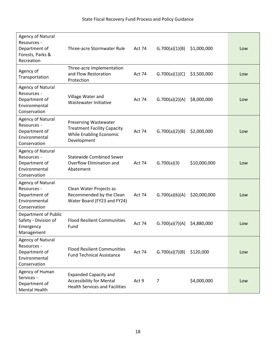| Agency of Natural<br>Resources -<br>Department of<br>Forests, Parks &<br>Recreation | Three-acre Stormwater Rule                                                                               | Act 74 | G.700(a)(1)(B) | \$1,000,000  | Low |
|-------------------------------------------------------------------------------------|----------------------------------------------------------------------------------------------------------|--------|----------------|--------------|-----|
| Agency of<br>Transportation                                                         | Three-acre Implementation<br>and Flow Restoration<br>Protection                                          | Act 74 | G.700(a)(1)(C) | \$3,500,000  | Low |
| Agency of Natural<br>Resources -<br>Department of<br>Environmental<br>Conservation  | Village Water and<br>Wastewater Initiative                                                               | Act 74 | G.700(a)(2)(A) | \$8,000,000  | Low |
| Agency of Natural<br>Resources -<br>Department of<br>Environmental<br>Conservation  | Preserving Wastewater<br><b>Treatment Facility Capacity</b><br>While Enabling Economic<br>Development    | Act 74 | G.700(a)(2)(B) | \$2,000,000  | Low |
| Agency of Natural<br>Resources -<br>Department of<br>Environmental<br>Conservation  | <b>Statewide Combined Sewer</b><br>Overflow Elimination and<br>Abatement                                 | Act 74 | G.700(a)(3)    | \$10,000,000 | Low |
| Agency of Natural<br>Resources -<br>Department of<br>Environmental<br>Conservation  | Clean Water Projects as<br>Recommended by the Clean<br>Water Board (FY23 and FY24)                       | Act 74 | G.700(a)(6)(A) | \$20,000,000 | Low |
| Department of Public<br>Safety - Division of<br>Emergency<br>Management             | <b>Flood Resilient Communities</b><br>Fund                                                               | Act 74 | G.700(a)(7)(A) | \$4,880,000  | Low |
| Agency of Natural<br>Resources -<br>Department of<br>Environmental<br>Conservation  | <b>Flood Resilient Communities</b><br><b>Fund Technical Assistance</b>                                   | Act 74 | G.700(a)(7)(B) | \$120,000    | Low |
| Agency of Human<br>Services -<br>Department of<br>Mental Health                     | <b>Expanded Capacity and</b><br><b>Accessibility for Mental</b><br><b>Health Services and Facilities</b> | Act 9  | 7              | \$4,000,000  | Low |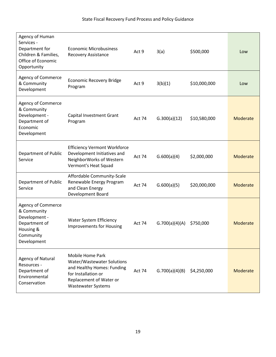| Agency of Human<br>Services -<br>Department for<br>Children & Families,<br>Office of Economic<br>Opportunity | <b>Economic Microbusiness</b><br><b>Recovery Assistance</b>                                                                                                 | Act 9         | 3(a)           | \$500,000    | Low             |
|--------------------------------------------------------------------------------------------------------------|-------------------------------------------------------------------------------------------------------------------------------------------------------------|---------------|----------------|--------------|-----------------|
| Agency of Commerce<br>& Community<br>Development                                                             | <b>Economic Recovery Bridge</b><br>Program                                                                                                                  | Act 9         | 3(b)(1)        | \$10,000,000 | Low             |
| Agency of Commerce<br>& Community<br>Development -<br>Department of<br>Economic<br>Development               | Capital Investment Grant<br>Program                                                                                                                         | Act 74        | G.300(a)(12)   | \$10,580,000 | Moderate        |
| Department of Public<br>Service                                                                              | <b>Efficiency Vermont Workforce</b><br>Development Initiatives and<br>NeighborWorks of Western<br>Vermont's Heat Squad                                      | Act 74        | G.600(a)(4)    | \$2,000,000  | Moderate        |
| Department of Public<br>Service                                                                              | Affordable Community-Scale<br>Renewable Energy Program<br>and Clean Energy<br>Development Board                                                             | <b>Act 74</b> | G.600(a)(5)    | \$20,000,000 | Moderate        |
| Agency of Commerce<br>& Community<br>Development -<br>Department of<br>Housing &<br>Community<br>Development | <b>Water System Efficiency</b><br><b>Improvements for Housing</b>                                                                                           | Act 74        | G.700(a)(4)(A) | \$750,000    | Moderate        |
| Agency of Natural<br>Resources -<br>Department of<br>Environmental<br>Conservation                           | Mobile Home Park<br>Water/Wastewater Solutions<br>and Healthy Homes: Funding<br>for Installation or<br>Replacement of Water or<br><b>Wastewater Systems</b> | Act 74        | G.700(a)(4)(B) | \$4,250,000  | <b>Moderate</b> |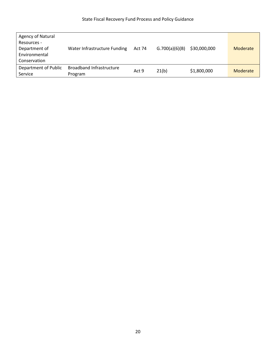| Agency of Natural<br>Resources -<br>Department of<br>Environmental<br>Conservation | Water Infrastructure Funding               | <b>Act 74</b> | G.700(a)(6)(B) | \$30,000,000 | Moderate |
|------------------------------------------------------------------------------------|--------------------------------------------|---------------|----------------|--------------|----------|
| Department of Public<br>Service                                                    | <b>Broadband Infrastructure</b><br>Program | Act 9         | 21(b)          | \$1,800,000  | Moderate |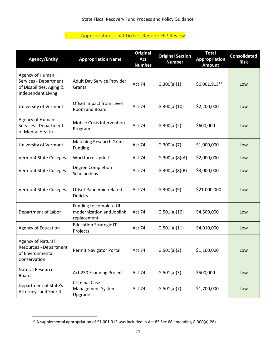## 2. Appropriations That Do Not Require FFP Review

<span id="page-20-0"></span>

| <b>Agency/Entity</b>                                                                          | <b>Appropriation Name</b>                                          | <b>Original</b><br>Act<br><b>Number</b> | <b>Original Section</b><br><b>Number</b> | <b>Total</b><br><b>Appropriation</b><br><b>Amount</b> | <b>Consolidated</b><br><b>Risk</b> |
|-----------------------------------------------------------------------------------------------|--------------------------------------------------------------------|-----------------------------------------|------------------------------------------|-------------------------------------------------------|------------------------------------|
| Agency of Human<br>Services - Department<br>of Disabilities, Aging &<br>Independent Living    | Adult Day Service Provider<br>Grants                               | Act 74                                  | G.300(a)(1)                              | \$6,001,913 <sup>14</sup>                             | Low                                |
| University of Vermont                                                                         | Offset Impact from Level<br>Room and Board                         | Act 74                                  | G.300(a)(10)                             | \$2,200,000                                           | Low                                |
| Agency of Human<br>Services - Department<br>of Mental Health                                  | Mobile Crisis Intervention<br>Program                              | Act 74                                  | G.300(a)(2)                              | \$600,000                                             | Low                                |
| University of Vermont                                                                         | <b>Matching Research Grant</b><br>Funding                          | Act 74                                  | G.300(a)(7)                              | \$1,000,000                                           | Low                                |
| <b>Vermont State Colleges</b>                                                                 | <b>Workforce Upskill</b>                                           | Act 74                                  | G.300(a)(8)(A)                           | \$2,000,000                                           | Low                                |
| <b>Vermont State Colleges</b>                                                                 | Degree Completion<br>Scholarships                                  | Act 74                                  | G.300(a)(8)(B)                           | \$3,000,000                                           | Low                                |
| <b>Vermont State Colleges</b>                                                                 | <b>Offset Pandemic-related</b><br><b>Deficits</b>                  | Act 74                                  | G.300(a)(9)                              | \$21,000,000                                          | Low                                |
| Department of Labor                                                                           | Funding to complete UI<br>modernization and Joblink<br>replacement | Act 74                                  | G.501(a)(10)                             | \$4,500,000                                           | Low                                |
| <b>Agency of Education</b>                                                                    | <b>Education Strategic IT</b><br>Projects                          | Act 74                                  | G.501(a)(11)                             | \$4,010,000                                           | Low                                |
| <b>Agency of Natural</b><br><b>Resources - Department</b><br>of Environmental<br>Conservation | Permit Navigator Portal                                            | Act 74                                  | G.501(a)(2)                              | \$1,100,000                                           | Low                                |
| <b>Natural Resources</b><br><b>Board</b>                                                      | Act 250 Scanning Project                                           | Act 74                                  | G.501(a)(3)                              | \$500,000                                             | Low                                |
| Department of State's<br><b>Attorneys and Sheriffs</b>                                        | <b>Criminal Case</b><br>Management System<br>Upgrade               | Act 74                                  | G.501(a)(7)                              | \$1,700,000                                           | Low                                |

<sup>14</sup> A supplemental appropriation of \$1,001,913 was included in Act 83 Sec.68 amending G.300(a)(26).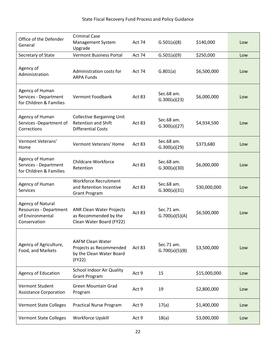| Office of the Defender<br>General                                                      | <b>Criminal Case</b><br>Management System<br>Upgrade                                         | <b>Act 74</b> | G.501(a)(8)                  | \$140,000    | Low |
|----------------------------------------------------------------------------------------|----------------------------------------------------------------------------------------------|---------------|------------------------------|--------------|-----|
| Secretary of State                                                                     | <b>Vermont Business Portal</b>                                                               | Act 74        | G.501(a)(9)                  | \$250,000    | Low |
| Agency of<br>Administration                                                            | Administration costs for<br><b>ARPA Funds</b>                                                | <b>Act 74</b> | G.801(a)                     | \$6,500,000  | Low |
| Agency of Human<br>Services - Department<br>for Children & Families                    | Vermont Foodbank                                                                             | Act 83        | Sec.68 am.<br>G.300(a)(23)   | \$6,000,000  | Low |
| Agency of Human<br>Services -Department of<br>Corrections                              | <b>Collective Bargaining Unit</b><br><b>Retention and Shift</b><br><b>Differential Costs</b> | Act 83        | Sec.68 am.<br>G.300(a)(27)   | \$4,934,590  | Low |
| Vermont Veterans'<br>Home                                                              | Vermont Veterans' Home                                                                       | Act 83        | Sec.68 am.<br>G.300(a)(29)   | \$373,680    | Low |
| Agency of Human<br>Services - Department<br>for Children & Families                    | Childcare Workforce<br>Retention                                                             | Act 83        | Sec.68 am.<br>G.300(a)(30)   | \$6,000,000  | Low |
| Agency of Human<br><b>Services</b>                                                     | <b>Workforce Recruitment</b><br>and Retention Incentive<br><b>Grant Program</b>              | Act 83        | Sec.68 am.<br>G.300(a)(31)   | \$30,000,000 | Low |
| <b>Agency of Natural</b><br>Resources - Department<br>of Environmental<br>Conservation | <b>ANR Clean Water Projects</b><br>as Recommended by the<br>Clean Water Board (FY22)         | Act 83        | Sec.71 am.<br>G.700(a)(5)(A) | \$6,500,000  | Low |
| Agency of Agriculture,<br>Food, and Markets                                            | <b>AAFM Clean Water</b><br>Projects as Recommended<br>by the Clean Water Board<br>(FY22)     | Act 83        | Sec.71 am.<br>G.700(a)(5)(B) | \$3,500,000  | Low |
| <b>Agency of Education</b>                                                             | School Indoor Air Quality<br><b>Grant Program</b>                                            | Act 9         | 15                           | \$15,000,000 | Low |
| Vermont Student<br><b>Assistance Corporation</b>                                       | <b>Green Mountain Grad</b><br>Program                                                        | Act 9         | 19                           | \$2,800,000  | Low |
| <b>Vermont State Colleges</b>                                                          | <b>Practical Nurse Program</b>                                                               | Act 9         | 17(a)                        | \$1,400,000  | Low |
| <b>Vermont State Colleges</b>                                                          | Workforce Upskill                                                                            | Act 9         | 18(a)                        | \$3,000,000  | Low |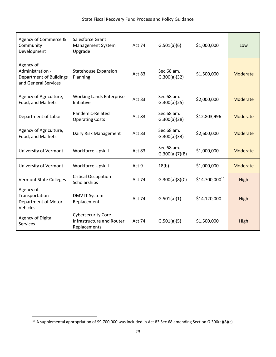| Agency of Commerce &<br>Community<br>Development                                        | Salesforce Grant<br>Management System<br>Upgrade                       | <b>Act 74</b> | G.501(a)(6)                  | \$1,000,000    | Low             |
|-----------------------------------------------------------------------------------------|------------------------------------------------------------------------|---------------|------------------------------|----------------|-----------------|
| Agency of<br>Administration -<br><b>Department of Buildings</b><br>and General Services | <b>Statehouse Expansion</b><br>Planning                                | Act 83        | Sec.68 am.<br>G.300(a)(32)   | \$1,500,000    | <b>Moderate</b> |
| Agency of Agriculture,<br>Food, and Markets                                             | <b>Working Lands Enterprise</b><br>Initiative                          | Act 83        | Sec.68 am.<br>G.300(a)(25)   | \$2,000,000    | Moderate        |
| Department of Labor                                                                     | Pandemic-Related<br><b>Operating Costs</b>                             | Act 83        | Sec.68 am.<br>G.300(a)(28)   | \$12,803,996   | Moderate        |
| Agency of Agriculture,<br>Food, and Markets                                             | Dairy Risk Management                                                  | Act 83        | Sec.68 am.<br>G.300(a)(33)   | \$2,600,000    | Moderate        |
| University of Vermont                                                                   | <b>Workforce Upskill</b>                                               | Act 83        | Sec.68 am.<br>G.300(a)(7)(B) | \$1,000,000    | Moderate        |
| University of Vermont                                                                   | <b>Workforce Upskill</b>                                               | Act 9         | 18(b)                        | \$1,000,000    | Moderate        |
| <b>Vermont State Colleges</b>                                                           | <b>Critical Occupation</b><br>Scholarships                             | Act 74        | G.300(a)(8)(C)               | \$14,700,00015 | High            |
| Agency of<br>Transportation -<br>Department of Motor<br>Vehicles                        | <b>DMV IT System</b><br>Replacement                                    | <b>Act 74</b> | G.501(a)(1)                  | \$14,120,000   | High            |
| Agency of Digital<br>Services                                                           | <b>Cybersecurity Core</b><br>Infrastructure and Router<br>Replacements | Act 74        | G.501(a)(5)                  | \$1,500,000    | High            |

<sup>15</sup> A supplemental appropriation of \$9,700,000 was included in Act 83 Sec.68 amending Section G.300(a)(8)(c).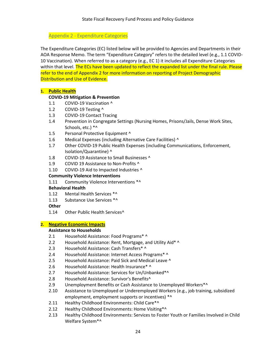## Appendix 2 - Expenditure Categories

<span id="page-23-0"></span>The Expenditure Categories (EC) listed below will be provided to Agencies and Departments in their AOA Response Memo. The term "Expenditure Category" refers to the detailed level (e.g., 1.1 COVID-10 Vaccination). When referred to as a category (e.g., EC 1) it includes all Expenditure Categories within that level. The ECs have been updated to reflect the expanded list under the final rule. Please refer to the end of Appendix 2 for more information on reporting of Project Demographic Distribution and Use of Evidence.

## **1. Public Health**

## **COVID-19 Mitigation & Prevention**

- 1.1 COVID-19 Vaccination ^
- 1.2 COVID-19 Testing ^
- 1.3 COVID-19 Contact Tracing
- 1.4 Prevention in Congregate Settings (Nursing Homes, Prisons/Jails, Dense Work Sites, Schools, etc.) \*^
- 1.5 Personal Protective Equipment ^
- 1.6 Medical Expenses (including Alternative Care Facilities) ^
- 1.7 Other COVID-19 Public Health Expenses (including Communications, Enforcement, Isolation/Quarantine) ^
- 1.8 COVID-19 Assistance to Small Businesses ^
- 1.9 COVID 19 Assistance to Non-Profits ^
- 1.10 COVID-19 Aid to Impacted Industries ^

## **Community Violence Interventions**

1.11 Community Violence Interventions \*^

## **Behavioral Health**

- 1.12 Mental Health Services \*^
- 1.13 Substance Use Services \*^
- **Other**
- 1.14 Other Public Health Services^

## **2. Negative Economic Impacts**

## **Assistance to Households**

- 2.1 Household Assistance: Food Programs\* ^
- 2.2 Household Assistance: Rent, Mortgage, and Utility Aid\* ^
- 2.3 Household Assistance: Cash Transfers\* ^
- 2.4 Household Assistance: Internet Access Programs\* ^
- 2.5 Household Assistance: Paid Sick and Medical Leave ^
- 2.6 Household Assistance: Health Insurance\* ^
- 2.7 Household Assistance: Services for Un/Unbanked\*^
- 2.8 Household Assistance: Survivor's Benefits^
- 2.9 Unemployment Benefits or Cash Assistance to Unemployed Workers\*^
- 2.10 Assistance to Unemployed or Underemployed Workers (e.g., job training, subsidized employment, employment supports or incentives) \*^
- 2.11 Healthy Childhood Environments: Child Care\*^
- 2.12 Healthy Childhood Environments: Home Visiting\*^
- 2.13 Healthy Childhood Environments: Services to Foster Youth or Families Involved in Child Welfare System\*^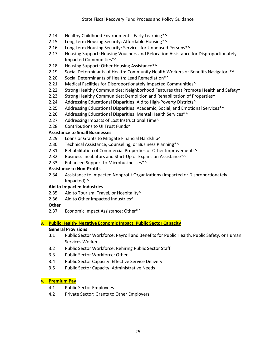- 2.14 Healthy Childhood Environments: Early Learning\*^
- 2.15 Long-term Housing Security: Affordable Housing\*^
- 2.16 Long-term Housing Security: Services for Unhoused Persons\*^
- 2.17 Housing Support: Housing Vouchers and Relocation Assistance for Disproportionately Impacted Communities\*^
- 2.18 Housing Support: Other Housing Assistance\*^
- 2.19 Social Determinants of Health: Community Health Workers or Benefits Navigators\*^
- 2.20 Social Determinants of Health: Lead Remediation\*^
- 2.21 Medical Facilities for Disproportionately Impacted Communities<sup>^</sup>
- 2.22 Strong Healthy Communities: Neighborhood Features that Promote Health and Safety^
- 2.23 Strong Healthy Communities: Demolition and Rehabilitation of Properties^
- 2.24 Addressing Educational Disparities: Aid to High-Poverty Districts<sup>^</sup>
- 2.25 Addressing Educational Disparities: Academic, Social, and Emotional Services\*^
- 2.26 Addressing Educational Disparities: Mental Health Services\*^
- 2.27 Addressing Impacts of Lost Instructional Time^
- 2.28 Contributions to UI Trust Funds^

## **Assistance to Small Businesses**

- 2.29 Loans or Grants to Mitigate Financial Hardship^
- 2.30 Technical Assistance, Counseling, or Business Planning\*^
- 2.31 Rehabilitation of Commercial Properties or Other Improvements^
- 2.32 Business Incubators and Start-Up or Expansion Assistance\*^
- 2.33 Enhanced Support to Microbusinesses\*^

## **Assistance to Non-Profits**

2.34 Assistance to Impacted Nonprofit Organizations (Impacted or Disproportionately Impacted) ^

## **Aid to Impacted Industries**

- 2.35 Aid to Tourism, Travel, or Hospitality<sup>^</sup>
- 2.36 Aid to Other Impacted Industries^

## **Other**

2.37 Economic Impact Assistance: Other\*^

## **3. Public Health- Negative Economic Impact: Public Sector Capacity**

## **General Provisions**

- 3.1 Public Sector Workforce: Payroll and Benefits for Public Health, Public Safety, or Human Services Workers
- 3.2 Public Sector Workforce: Rehiring Public Sector Staff
- 3.3 Public Sector Workforce: Other
- 3.4 Public Sector Capacity: Effective Service Delivery
- 3.5 Public Sector Capacity: Administrative Needs

## **4. Premium Pay**

- 4.1 Public Sector Employees
- 4.2 Private Sector: Grants to Other Employers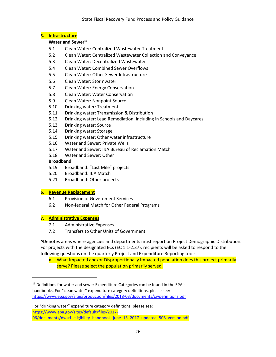## **5. Infrastructure**

#### **Water and Sewer<sup>16</sup>**

- 5.1 Clean Water: Centralized Wastewater Treatment
- 5.2 Clean Water: Centralized Wastewater Collection and Conveyance
- 5.3 Clean Water: Decentralized Wastewater
- 5.4 Clean Water: Combined Sewer Overflows
- 5.5 Clean Water: Other Sewer Infrastructure
- 5.6 Clean Water: Stormwater
- 5.7 Clean Water: Energy Conservation
- 5.8 Clean Water: Water Conservation
- 5.9 Clean Water: Nonpoint Source
- 5.10 Drinking water: Treatment
- 5.11 Drinking water: Transmission & Distribution
- 5.12 Drinking water: Lead Remediation, including in Schools and Daycares
- 5.13 Drinking water: Source
- 5.14 Drinking water: Storage
- 5.15 Drinking water: Other water infrastructure
- 5.16 Water and Sewer: Private Wells
- 5.17 Water and Sewer: IIJA Bureau of Reclamation Match
- 5.18 Water and Sewer: Other

## **Broadband**

- 5.19 Broadband: "Last Mile" projects
- 5.20 Broadband: IIJA Match
- 5.21 Broadband: Other projects

## **6. Revenue Replacement**

- 6.1 Provision of Government Services
- 6.2 Non-federal Match for Other Federal Programs

## **7. Administrative Expenses**

- 7.1 Administrative Expenses
- 7.2 Transfers to Other Units of Government

**^**Denotes areas where agencies and departments must report on Project Demographic Distribution. For projects with the designated ECs (EC 1.1-2.37), recipients will be asked to respond to the following questions on the quarterly Project and Expenditure Reporting tool:

• What Impacted and/or Disproportionally Impacted population does this project primarily serve? Please select the population primarily served.

For "drinking water" expenditure category definitions, please see: [https://www.epa.gov/sites/default/files/2017-](https://www.epa.gov/sites/default/files/2017-06/documents/dwsrf_eligibility_handbook_june_13_2017_updated_508_version.pdf) [06/documents/dwsrf\\_eligibility\\_handbook\\_june\\_13\\_2017\\_updated\\_508\\_version.pdf](https://www.epa.gov/sites/default/files/2017-06/documents/dwsrf_eligibility_handbook_june_13_2017_updated_508_version.pdf)

<sup>&</sup>lt;sup>16</sup> Definitions for water and sewer Expenditure Categories can be found in the EPA's handbooks. For "clean water" expenditure category definitions, please see: <https://www.epa.gov/sites/production/files/2018-03/documents/cwdefinitions.pdf>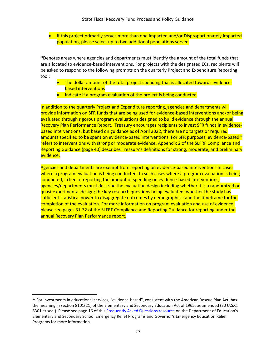• If this project primarily serves more than one Impacted and/or Disproportionately Impacted population, please select up to two additional populations served

**\***Denotes areas where agencies and departments must identify the amount of the total funds that are allocated to evidence-based interventions. For projects with the designated ECs, recipients will be asked to respond to the following prompts on the quarterly Project and Expenditure Reporting tool:

- The dollar amount of the total project spending that is allocated towards evidencebased interventions
- Indicate if a program evaluation of the project is being conducted

In addition to the quarterly Project and Expenditure reporting, agencies and departments will provide information on SFR funds that are being used for evidence-based interventions and/or being evaluated through rigorous program evaluations designed to build evidence through the annual Recovery Plan Performance Report. Treasury encourages recipients to invest SFR funds in evidencebased interventions, but based on guidance as of April 2022, there are no targets or required amounts specified to be spent on evidence-based interventions. For SFR purposes, evidence-based<sup>17</sup> refers to interventions with strong or moderate evidence. Appendix 2 of the SLFRF Compliance and Reporting Guidance (page 40) describes Treasury's definitions for strong, moderate, and preliminary evidence.

Agencies and departments are exempt from reporting on evidence-based interventions in cases where a program evaluation is being conducted. In such cases where a program evaluation is being conducted, in lieu of reporting the amount of spending on evidence-based interventions, agencies/departments must describe the evaluation design including whether it is a randomized or quasi-experimental design; the key research questions being evaluated; whether the study has sufficient statistical power to disaggregate outcomes by demographics; and the timeframe for the completion of the evaluation. For more information on program evaluation and use of evidence, please see pages 31-32 of the SLFRF Compliance and Reporting Guidance for reporting under the annual Recovery Plan Performance report.

<sup>&</sup>lt;sup>17</sup> For investments in educational services, "evidence-based", consistent with the American Rescue Plan Act, has the meaning in section 8101(21) of the Elementary and Secondary Education Act of 1965, as amended (20 U.S.C. 6301 et seq.). Please see page 16 of this [Frequently Asked Questions resource](https://oese.ed.gov/files/2021/05/ESSER.GEER_.FAQs_5.26.21_745AM_FINALb0cd6833f6f46e03ba2d97d30aff953260028045f9ef3b18ea602db4b32b1d99.pdf) on the Department of Education's Elementary and Secondary School Emergency Relief Programs and Governor's Emergency Education Relief Programs for more information.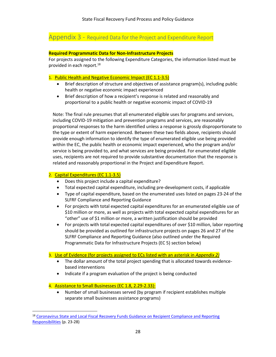## <span id="page-27-0"></span>Appendix 3 - Required Data for the Project and Expenditure Report

## **Required Programmatic Data for Non-Infrastructure Projects**

For projects assigned to the following Expenditure Categories, the information listed must be provided in each report.<sup>18</sup>

## 1. Public Health and Negative Economic Impact (EC 1.1-3.5)

- Brief description of structure and objectives of assistance program(s), including public health or negative economic impact experienced
- Brief description of how a recipient's response is related and reasonably and proportional to a public health or negative economic impact of COVID-19

Note: The final rule presumes that all enumerated eligible uses for programs and services, including COVID-19 mitigation and prevention programs and services, are reasonably proportional responses to the harm identified unless a response is grossly disproportionate to the type or extent of harm experienced. Between these two fields above, recipients should provide enough information to identify the type of enumerated eligible use being provided within the EC, the public health or economic impact experienced, who the program and/or service is being provided to, and what services are being provided. For enumerated eligible uses, recipients are not required to provide substantive documentation that the response is related and reasonably proportional in the Project and Expenditure Report.

## 2. Capital Expenditures (EC 1.1-3.5)

- Does this project include a capital expenditure?
- Total expected capital expenditure, including pre-development costs, if applicable
- Type of capital expenditure, based on the enumerated uses listed on pages 23-24 of the [SLFRF](https://home.treasury.gov/system/files/136/SLFRF-Compliance-and-Reporting-Guidance.pdf) Compliance and Reporting Guidance
- For projects with total expected capital expenditures for an enumerated eligible use of \$10 million or more, as well as projects with total expected capital expenditures for an "other" use of \$1 million or more, a written justification should be provided
- For projects with total expected capital expenditures of over \$10 million, labor reporting should be provided as outlined for infrastructure projects on pages 26 and 27 of the [SLFRF](https://home.treasury.gov/system/files/136/SLFRF-Compliance-and-Reporting-Guidance.pdf) Compliance and Reporting Guidance (also outlined under the Required Programmatic Data for Infrastructure Projects (EC 5) section below)

## 3. Use of Evidence (for projects assigned to ECs listed with an asterisk in *Appendix 2)*

- The dollar amount of the total project spending that is allocated towards evidencebased interventions
- Indicate if a program evaluation of the project is being conducted

## 4. Assistance to Small Businesses (EC 1.8, 2.29-2.33):

• Number of small businesses served (by program if recipient establishes multiple separate small businesses assistance programs)

<sup>&</sup>lt;sup>18</sup> Coronavirus State and Local Fiscal Recovery Funds Guidance on Recipient Compliance and Reporting [Responsibilities](https://home.treasury.gov/system/files/136/SLFRF-Compliance-and-Reporting-Guidance.pdf) (p. 23-28)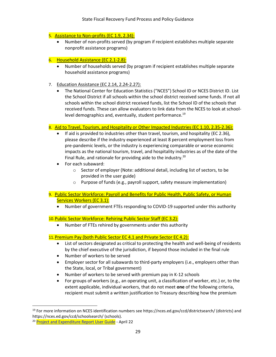## 5. Assistance to Non-profits (EC 1.9, 2.34):

• Number of non-profits served (by program if recipient establishes multiple separate nonprofit assistance programs)

## 6. Household Assistance (EC 2.1-2.8):

- Number of households served (by program if recipient establishes multiple separate household assistance programs)
- 7. Education Assistance (EC 2.14, 2.24-2.27):
	- The National Center for Education Statistics ("NCES") School ID or NCES District ID. List the School District if all schools within the school district received some funds. If not all schools within the school district received funds, list the School ID of the schools that received funds. These can allow evaluators to link data from the NCES to look at schoollevel demographics and, eventually, student performance.<sup>19</sup>

## 8. Aid to Travel, Tourism, and Hospitality or Other Impacted Industries (EC 1.10, 2.35-2.36):

- If aid is provided to industries other than travel, tourism, and hospitality (EC 2.36), please describe if the industry experienced at least 8 percent employment loss from pre-pandemic levels, or the industry is experiencing comparable or worse economic impacts as the national tourism, travel, and hospitality industries as of the date of the Final Rule, and rationale for providing aide to the industry.<sup>20</sup>
- For each subaward:
	- o Sector of employer (Note: additional detail, including list of sectors, to be provided in the user guide)
	- o Purpose of funds (e.g., payroll support, safety measure implementation)
- 9. Public Sector Workforce: Payroll and Benefits for Public Health, Public Safety, or Human Services Workers (EC 3.1):
	- Number of government FTEs responding to COVID-19 supported under this authority

## 10.Public Sector Workforce: Rehiring Public Sector Staff (EC 3.2):

• Number of FTEs rehired by governments under this authority

## 11. Premium Pay (both Public Sector EC 4.1 and Private Sector EC 4.2):

- List of sectors designated as critical to protecting the health and well-being of residents by the chief executive of the jurisdiction, if beyond those included in the final rule
- Number of workers to be served
- Employer sector for all subawards to third-party employers (i.e., employers other than the State, local, or Tribal government)
- Number of workers to be served with premium pay in K-12 schools
- For groups of workers (e.g., an operating unit, a classification of worker, etc.) or, to the extent applicable, individual workers, that do not meet **one** of the following criteria, recipient must submit a written justification to Treasury describing how the premium

<sup>19</sup> For more information on NCES identification numbers see https://nces.ed.gov/ccd/districtsearch/ (districts) and https://nces.ed.gov/ccd/schoolsearch/ (schools).

<sup>&</sup>lt;sup>20</sup> [Project and Expenditure Report User Guide](https://home.treasury.gov/system/files/136/April-2022-PE-Report-User-Guide.pdf) - April 22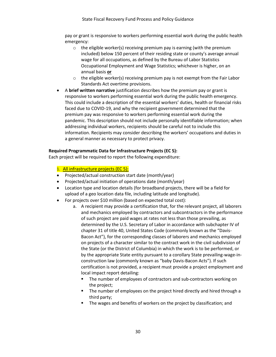pay or grant is responsive to workers performing essential work during the public health emergency:

- $\circ$  the eligible worker(s) receiving premium pay is earning (with the premium included) below 150 percent of their residing state or county's average annual wage for all occupations, as defined by the Bureau of Labor Statistics Occupational Employment and Wage Statistics; whichever is higher, on an annual basis **or**
- $\circ$  the eligible worker(s) receiving premium pay is not exempt from the Fair Labor Standards Act overtime provisions.
- A **brief written narrative** justification describes how the premium pay or grant is responsive to workers performing essential work during the public health emergency. This could include a description of the essential workers' duties, health or financial risks faced due to COVID-19, and why the recipient government determined that the premium pay was responsive to workers performing essential work during the pandemic. This description should not include personally identifiable information; when addressing individual workers, recipients should be careful not to include this information. Recipients may consider describing the workers' occupations and duties in a general manner as necessary to protect privacy.

## **Required Programmatic Data for Infrastructure Projects (EC 5):**

Each project will be required to report the following expenditure:

## 1. All infrastructure projects (EC 5):

- Projected/actual construction start date (month/year)
- Projected/actual initiation of operations date (month/year)
- Location type and location details (for broadband projects, there will be a field for upload of a geo location data file, including latitude and longitude).
- For projects over \$10 million (based on expected total cost):
	- a. A recipient may provide a certification that, for the relevant project, all laborers and mechanics employed by contractors and subcontractors in the performance of such project are paid wages at rates not less than those prevailing, as determined by the U.S. Secretary of Labor in accordance with subchapter IV of chapter 31 of title 40, United States Code (commonly known as the "Davis-Bacon Act"), for the corresponding classes of laborers and mechanics employed on projects of a character similar to the contract work in the civil subdivision of the State (or the District of Columbia) in which the work is to be performed, or by the appropriate State entity pursuant to a corollary State prevailing-wage-inconstruction law (commonly known as "baby Davis-Bacon Acts"). If such certification is not provided, a recipient must provide a project employment and local impact report detailing:
		- The number of employees of contractors and sub-contractors working on the project;
		- The number of employees on the project hired directly and hired through a third party;
		- The wages and benefits of workers on the project by classification; and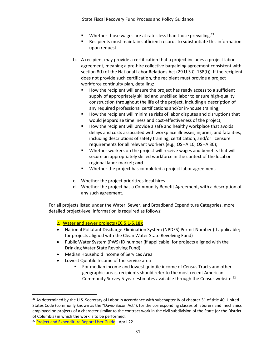State Fiscal Recovery Fund Process and Policy Guidance

- **■** Whether those wages are at rates less than those prevailing.<sup>21</sup>
- Recipients must maintain sufficient records to substantiate this information upon request.
- b. A recipient may provide a certification that a project includes a project labor agreement, meaning a pre-hire collective bargaining agreement consistent with section 8(f) of the National Labor Relations Act (29 U.S.C. 158(f)). If the recipient does not provide such certification, the recipient must provide a project workforce continuity plan, detailing:
	- How the recipient will ensure the project has ready access to a sufficient supply of appropriately skilled and unskilled labor to ensure high-quality construction throughout the life of the project, including a description of any required professional certifications and/or in-house training;
	- How the recipient will minimize risks of labor disputes and disruptions that would jeopardize timeliness and cost-effectiveness of the project;
	- How the recipient will provide a safe and healthy workplace that avoids delays and costs associated with workplace illnesses, injuries, and fatalities, including descriptions of safety training, certification, and/or licensure requirements for all relevant workers (e.g., OSHA 10, OSHA 30);
	- Whether workers on the project will receive wages and benefits that will secure an appropriately skilled workforce in the context of the local or regional labor market; **and**
	- Whether the project has completed a project labor agreement.
- c. Whether the project prioritizes local hires.
- d. Whether the project has a Community Benefit Agreement, with a description of any such agreement.

For all projects listed under the Water, Sewer, and Broadband Expenditure Categories, more detailed project-level information is required as follows:

2. Water and sewer projects (EC 5.1-5.18):

- National Pollutant Discharge Elimination System (NPDES) Permit Number (if applicable; for projects aligned with the Clean Water State Revolving Fund)
- Public Water System (PWS) ID number (if applicable; for projects aligned with the Drinking Water State Revolving Fund)
- Median Household Income of Services Area
- Lowest Quintile Income of the service area
	- For median income and lowest quintile income of Census Tracts and other geographic areas, recipients should refer to the most recent American Community Survey 5-year estimates available through the Census website.<sup>22</sup>

<sup>&</sup>lt;sup>21</sup> As determined by the U.S. Secretary of Labor in accordance with subchapter IV of chapter 31 of title 40, United States Code (commonly known as the "Davis-Bacon Act"), for the corresponding classes of laborers and mechanics employed on projects of a character similar to the contract work in the civil subdivision of the State (or the District of Columbia) in which the work is to be performed.

<sup>&</sup>lt;sup>22</sup> [Project and Expenditure Report User Guide](https://home.treasury.gov/system/files/136/April-2022-PE-Report-User-Guide.pdf) - April 22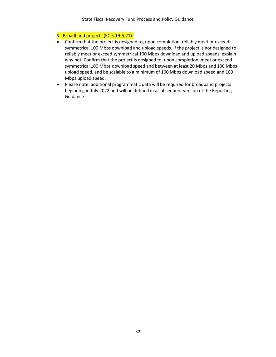## 3. Broadband projects (EC 5.19-5.21):

- Confirm that the project is designed to, upon completion, reliably meet or exceed symmetrical 100 Mbps download and upload speeds. If the project is not designed to reliably meet or exceed symmetrical 100 Mbps download and upload speeds, explain why not. Confirm that the project is designed to, upon completion, meet or exceed symmetrical 100 Mbps download speed and between at least 20 Mbps and 100 Mbps upload speed, and be scalable to a minimum of 100 Mbps download speed and 100 Mbps upload speed.
- Please note: additional programmatic data will be required for broadband projects beginning in July 2022 and will be defined in a subsequent version of the Reporting Guidance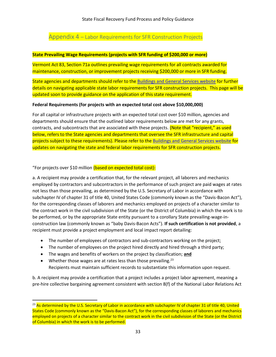## <span id="page-32-0"></span>Appendix 4 – Labor Requirements for SFR Construction Projects

## **State Prevailing Wage Requirements (projects with SFR funding of \$200,000 or more)**

Vermont Act 83, Section 71a outlines prevailing wage requirements for all contracts awarded for maintenance, construction, or improvement projects receiving \$200,000 or more in SFR funding.

State agencies and departments should refer to th[e Buildings and General Services website](https://nam10.safelinks.protection.outlook.com/?url=https%3A%2F%2Fbgs.vermont.gov%2Fpurchasing-contracting%2Fforms&data=05%7C01%7Ckinan%40guidehouse.com%7Cc6f1bf9ef944461dd8e108da3360f5ae%7C4ee48f43e15d4f4aad55d0990aac660e%7C0%7C0%7C637878788823931279%7CUnknown%7CTWFpbGZsb3d8eyJWIjoiMC4wLjAwMDAiLCJQIjoiV2luMzIiLCJBTiI6Ik1haWwiLCJXVCI6Mn0%3D%7C3000%7C%7C%7C&sdata=xSFPTQN9ct%2FLnoFy2QPSP1gMPYH7qsm%2BrRaY6SC9j9M%3D&reserved=0) for further details on navigating applicable state labor requirements for SFR construction projects. This page will be updated soon to provide guidance on the application of this state requirement.

## **Federal Requirements (for projects with an expected total cost above \$10,000,000)**

For all capital or infrastructure projects with an expected total cost over \$10 million, agencies and departments should ensure that the outlined labor requirements below are met for any grants, contracts, and subcontracts that are associated with these projects. (Note that "recipient," as used below, refers to the State agencies and departments that oversee the SFR infrastructure and capital projects subject to these requirements). Please refer to the [Buildings and General Services website](https://nam10.safelinks.protection.outlook.com/?url=https%3A%2F%2Fbgs.vermont.gov%2Fpurchasing-contracting%2Fforms&data=05%7C01%7Ckinan%40guidehouse.com%7Cc6f1bf9ef944461dd8e108da3360f5ae%7C4ee48f43e15d4f4aad55d0990aac660e%7C0%7C0%7C637878788823931279%7CUnknown%7CTWFpbGZsb3d8eyJWIjoiMC4wLjAwMDAiLCJQIjoiV2luMzIiLCJBTiI6Ik1haWwiLCJXVCI6Mn0%3D%7C3000%7C%7C%7C&sdata=xSFPTQN9ct%2FLnoFy2QPSP1gMPYH7qsm%2BrRaY6SC9j9M%3D&reserved=0) for updates on navigating the state and federal labor requirements for SFR construction projects.

## "For projects over \$10 million (based on expected total cost):

a. A recipient may provide a certification that, for the relevant project, all laborers and mechanics employed by contractors and subcontractors in the performance of such project are paid wages at rates not less than those prevailing, as determined by the U.S. Secretary of Labor in accordance with subchapter IV of chapter 31 of title 40, United States Code (commonly known as the "Davis-Bacon Act"), for the corresponding classes of laborers and mechanics employed on projects of a character similar to the contract work in the civil subdivision of the State (or the District of Columbia) in which the work is to be performed, or by the appropriate State entity pursuant to a corollary State prevailing-wage-inconstruction law (commonly known as "baby Davis-Bacon Acts"). **If such certification is not provided**, a recipient must provide a project employment and local impact report detailing:

- The number of employees of contractors and sub-contractors working on the project;
- The number of employees on the project hired directly and hired through a third party;
- The wages and benefits of workers on the project by classification; **and**
- Whether those wages are at rates less than those prevailing.<sup>23</sup> Recipients must maintain sufficient records to substantiate this information upon request.

b. A recipient may provide a certification that a project includes a project labor agreement, meaning a pre-hire collective bargaining agreement consistent with section 8(f) of the National Labor Relations Act

<sup>&</sup>lt;sup>23</sup> As determined by the U.S. Secretary of Labor in accordance with subchapter IV of chapter 31 of title 40, United States Code (commonly known as the "Davis-Bacon Act"), for the corresponding classes of laborers and mechanics employed on projects of a character similar to the contract work in the civil subdivision of the State (or the District of Columbia) in which the work is to be performed.